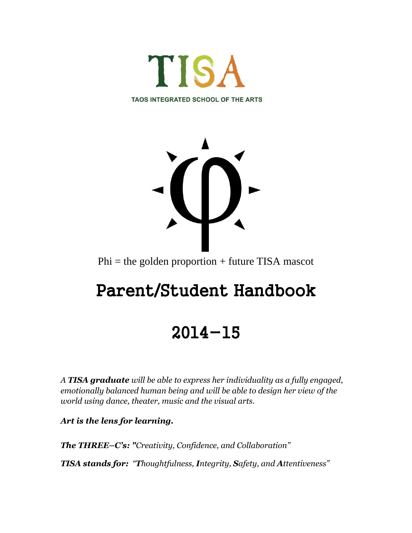



Phi = the golden proportion + future TISA mascot

# Parent/Student Handbook

## 2014-15

*A TISA graduate will be able to express her individuality as a fully engaged, emotionally balanced human being and will be able to design her view of the world using dance, theater, music and the visual arts.*

*Art is the lens for learning.* 

*The THREE–C's: "Creativity, Confidence, and Collaboration"* 

*TISA stands for: "Thoughtfulness, Integrity, Safety, and Attentiveness"*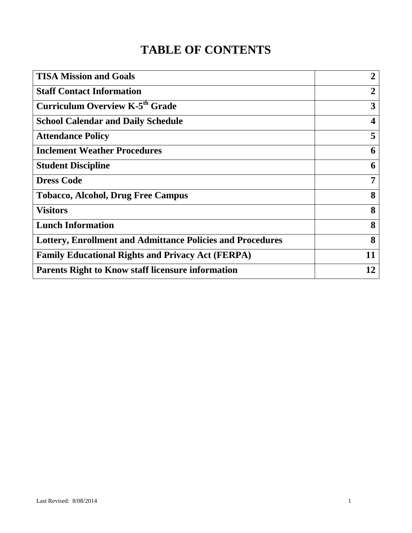## **TABLE OF CONTENTS**

| <b>TISA Mission and Goals</b>                                     | $\overline{2}$ |
|-------------------------------------------------------------------|----------------|
| <b>Staff Contact Information</b>                                  | 2              |
| <b>Curriculum Overview K-5th Grade</b>                            | 3              |
| <b>School Calendar and Daily Schedule</b>                         | 4              |
| <b>Attendance Policy</b>                                          | 5              |
| <b>Inclement Weather Procedures</b>                               | 6              |
| <b>Student Discipline</b>                                         | 6              |
| <b>Dress Code</b>                                                 | 7              |
| <b>Tobacco, Alcohol, Drug Free Campus</b>                         | 8              |
| <b>Visitors</b>                                                   | 8              |
| <b>Lunch Information</b>                                          | 8              |
| <b>Lottery, Enrollment and Admittance Policies and Procedures</b> | 8              |
| <b>Family Educational Rights and Privacy Act (FERPA)</b>          | 11             |
| <b>Parents Right to Know staff licensure information</b>          | 12             |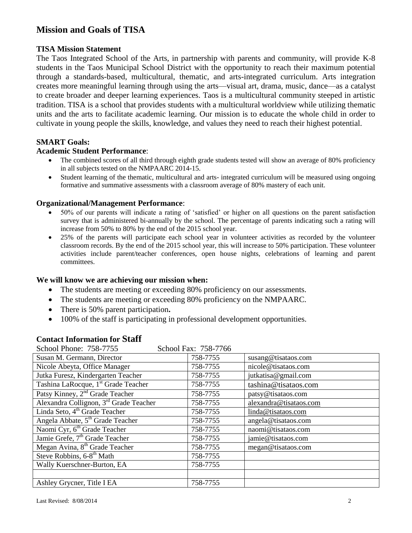## **Mission and Goals of TISA**

#### **TISA Mission Statement**

The Taos Integrated School of the Arts, in partnership with parents and community, will provide K-8 students in the Taos Municipal School District with the opportunity to reach their maximum potential through a standards-based, multicultural, thematic, and arts-integrated curriculum. Arts integration creates more meaningful learning through using the arts—visual art, drama, music, dance—as a catalyst to create broader and deeper learning experiences. Taos is a multicultural community steeped in artistic tradition. TISA is a school that provides students with a multicultural worldview while utilizing thematic units and the arts to facilitate academic learning. Our mission is to educate the whole child in order to cultivate in young people the skills, knowledge, and values they need to reach their highest potential.

#### **SMART Goals:**

#### **Academic Student Performance**:

- The combined scores of all third through eighth grade students tested will show an average of 80% proficiency in all subjects tested on the NMPAARC 2014-15.
- Student learning of the thematic, multicultural and arts- integrated curriculum will be measured using ongoing formative and summative assessments with a classroom average of 80% mastery of each unit.

#### **Organizational/Management Performance**:

- 50% of our parents will indicate a rating of 'satisfied' or higher on all questions on the parent satisfaction survey that is administered bi-annually by the school. The percentage of parents indicating such a rating will increase from 50% to 80% by the end of the 2015 school year.
- 25% of the parents will participate each school year in volunteer activities as recorded by the volunteer classroom records. By the end of the 2015 school year, this will increase to 50% participation. These volunteer activities include parent/teacher conferences, open house nights, celebrations of learning and parent committees.

#### **We will know we are achieving our mission when:**

- The students are meeting or exceeding 80% proficiency on our assessments.
- The students are meeting or exceeding 80% proficiency on the NMPAARC.
- There is 50% parent participation**.**
- 100% of the staff is participating in professional development opportunities.

## **Contact Information for Staff**

| School Phone: 758-7755                          | School Fax: 758-7766 |                        |
|-------------------------------------------------|----------------------|------------------------|
| Susan M. Germann, Director                      | 758-7755             | susang@tisataos.com    |
| Nicole Abeyta, Office Manager                   | 758-7755             | nicole@tisataos.com    |
| Jutka Furesz, Kindergarten Teacher              | 758-7755             | jutkatisa@gmail.com    |
| Tashina LaRocque, 1 <sup>st</sup> Grade Teacher | 758-7755             | tashina@tisataos.com   |
| Patsy Kinney, 2 <sup>nd</sup> Grade Teacher     | 758-7755             | patsy@tisataos.com     |
| Alexandra Collignon, 3rd Grade Teacher          | 758-7755             | alexandra@tisataos.com |
| Linda Seto, 4 <sup>th</sup> Grade Teacher       | 758-7755             | linda@tisataos.com     |
| Angela Abbate, 5 <sup>th</sup> Grade Teacher    | 758-7755             | angela@tisataos.com    |
| Naomi Cyr, 6 <sup>th</sup> Grade Teacher        | 758-7755             | naomi@tisataos.com     |
| Jamie Grefe, 7 <sup>th</sup> Grade Teacher      | 758-7755             | jamie@tisataos.com     |
| Megan Avina, 8 <sup>th</sup> Grade Teacher      | 758-7755             | megan@tisataos.com     |
| Steve Robbins, 6-8 <sup>th</sup> Math           | 758-7755             |                        |
| Wally Kuerschner-Burton, EA                     | 758-7755             |                        |
|                                                 |                      |                        |
| Ashley Grycner, Title I EA                      | 758-7755             |                        |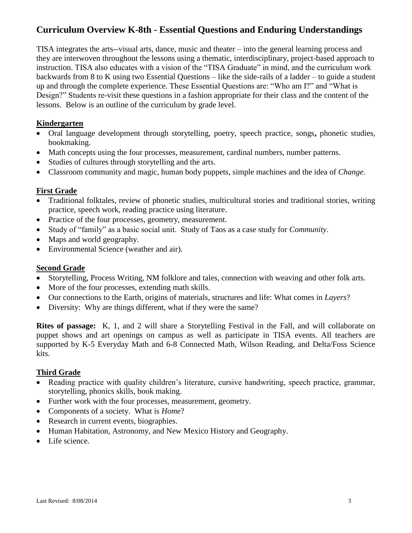## **Curriculum Overview K-8th - Essential Questions and Enduring Understandings**

TISA integrates the arts--visual arts, dance, music and theater – into the general learning process and they are interwoven throughout the lessons using a thematic, interdisciplinary, project-based approach to instruction. TISA also educates with a vision of the "TISA Graduate" in mind, and the curriculum work backwards from 8 to K using two Essential Questions – like the side-rails of a ladder – to guide a student up and through the complete experience. These Essential Questions are: "Who am I?" and "What is Design?" Students re-visit these questions in a fashion appropriate for their class and the content of the lessons. Below is an outline of the curriculum by grade level.

#### **Kindergarten**

- Oral language development through storytelling, poetry, speech practice, songs**,** phonetic studies, bookmaking.
- Math concepts using the four processes, measurement, cardinal numbers, number patterns.
- Studies of cultures through storytelling and the arts.
- Classroom community and magic, human body puppets, simple machines and the idea of *Change*.

#### **First Grade**

- Traditional folktales, review of phonetic studies, multicultural stories and traditional stories, writing practice, speech work, reading practice using literature.
- Practice of the four processes, geometry, measurement.
- Study of "family" as a basic social unit. Study of Taos as a case study for *Community*.
- Maps and world geography.
- Environmental Science (weather and air).

#### **Second Grade**

- Storytelling, Process Writing, NM folklore and tales, connection with weaving and other folk arts.
- More of the four processes, extending math skills.
- Our connections to the Earth, origins of materials, structures and life: What comes in *Layers*?
- Diversity: Why are things different, what if they were the same?

**Rites of passage:** K, 1, and 2 will share a Storytelling Festival in the Fall, and will collaborate on puppet shows and art openings on campus as well as participate in TISA events. All teachers are supported by K-5 Everyday Math and 6-8 Connected Math, Wilson Reading, and Delta/Foss Science kits.

#### **Third Grade**

- Reading practice with quality children's literature, cursive handwriting, speech practice, grammar, storytelling, phonics skills, book making.
- Further work with the four processes, measurement, geometry.
- Components of a society. What is *Home*?
- Research in current events, biographies.
- Human Habitation, Astronomy, and New Mexico History and Geography.
- Life science.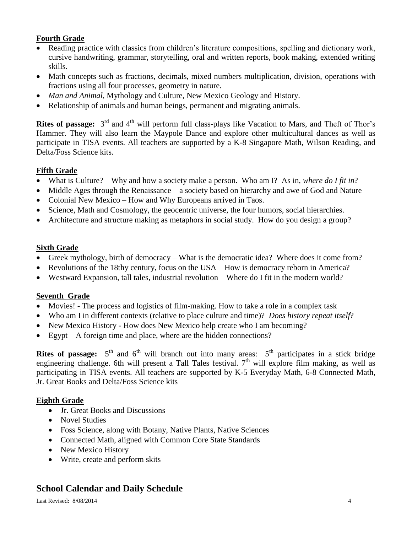### **Fourth Grade**

- Reading practice with classics from children's literature compositions, spelling and dictionary work, cursive handwriting, grammar, storytelling, oral and written reports, book making, extended writing skills.
- Math concepts such as fractions, decimals, mixed numbers multiplication, division, operations with fractions using all four processes, geometry in nature.
- *Man and Animal*, Mythology and Culture, New Mexico Geology and History.
- Relationship of animals and human beings, permanent and migrating animals.

Rites of passage: 3<sup>rd</sup> and 4<sup>th</sup> will perform full class-plays like Vacation to Mars, and Theft of Thor's Hammer. They will also learn the Maypole Dance and explore other multicultural dances as well as participate in TISA events. All teachers are supported by a K-8 Singapore Math, Wilson Reading, and Delta/Foss Science kits.

#### **Fifth Grade**

- What is Culture? Why and how a society make a person. Who am I? As in, *where do I fit in*?
- Middle Ages through the Renaissance a society based on hierarchy and awe of God and Nature
- Colonial New Mexico How and Why Europeans arrived in Taos.
- Science, Math and Cosmology, the geocentric universe, the four humors, social hierarchies.
- Architecture and structure making as metaphors in social study. How do you design a group?

#### **Sixth Grade**

- Greek mythology, birth of democracy What is the democratic idea? Where does it come from?
- Revolutions of the 18thy century, focus on the USA How is democracy reborn in America?
- Westward Expansion, tall tales, industrial revolution Where do I fit in the modern world?

#### **Seventh Grade**

- Movies! The process and logistics of film-making. How to take a role in a complex task
- Who am I in different contexts (relative to place culture and time)? *Does history repeat itself*?
- New Mexico History How does New Mexico help create who I am becoming?
- Egypt A foreign time and place, where are the hidden connections?

**Rites of passage:**  $5<sup>th</sup>$  and  $6<sup>th</sup>$  will branch out into many areas:  $5<sup>th</sup>$  participates in a stick bridge engineering challenge. 6th will present a Tall Tales festival.  $7<sup>th</sup>$  will explore film making, as well as participating in TISA events. All teachers are supported by K-5 Everyday Math, 6-8 Connected Math, Jr. Great Books and Delta/Foss Science kits

#### **Eighth Grade**

- Jr. Great Books and Discussions
- Novel Studies
- Foss Science, along with Botany, Native Plants, Native Sciences
- Connected Math, aligned with Common Core State Standards
- New Mexico History
- Write, create and perform skits

## **School Calendar and Daily Schedule**

Last Revised:  $8/08/2014$  4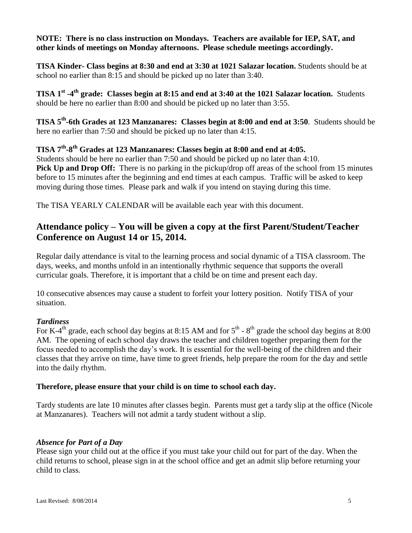#### **NOTE: There is no class instruction on Mondays. Teachers are available for IEP, SAT, and other kinds of meetings on Monday afternoons. Please schedule meetings accordingly.**

**TISA Kinder- Class begins at 8:30 and end at 3:30 at 1021 Salazar location.** Students should be at school no earlier than 8:15 and should be picked up no later than 3:40.

**TISA 1st -4 th grade: Classes begin at 8:15 and end at 3:40 at the 1021 Salazar location.** Students should be here no earlier than 8:00 and should be picked up no later than 3:55.

**TISA 5th -6th Grades at 123 Manzanares: Classes begin at 8:00 and end at 3:50**. Students should be here no earlier than 7:50 and should be picked up no later than 4:15.

## **TISA 7th -8 th Grades at 123 Manzanares: Classes begin at 8:00 and end at 4:05.**

Students should be here no earlier than 7:50 and should be picked up no later than 4:10. **Pick Up and Drop Off:** There is no parking in the pickup/drop off areas of the school from 15 minutes before to 15 minutes after the beginning and end times at each campus. Traffic will be asked to keep moving during those times. Please park and walk if you intend on staying during this time.

The TISA YEARLY CALENDAR will be available each year with this document.

## **Attendance policy – You will be given a copy at the first Parent/Student/Teacher Conference on August 14 or 15, 2014.**

Regular daily attendance is vital to the learning process and social dynamic of a TISA classroom. The days, weeks, and months unfold in an intentionally rhythmic sequence that supports the overall curricular goals. Therefore, it is important that a child be on time and present each day.

10 consecutive absences may cause a student to forfeit your lottery position. Notify TISA of your situation.

#### *Tardiness*

For K-4<sup>th</sup> grade, each school day begins at 8:15 AM and for  $5^{th}$  -  $8^{th}$  grade the school day begins at 8:00 AM. The opening of each school day draws the teacher and children together preparing them for the focus needed to accomplish the day's work. It is essential for the well-being of the children and their classes that they arrive on time, have time to greet friends, help prepare the room for the day and settle into the daily rhythm.

#### **Therefore, please ensure that your child is on time to school each day.**

Tardy students are late 10 minutes after classes begin. Parents must get a tardy slip at the office (Nicole at Manzanares). Teachers will not admit a tardy student without a slip.

#### *Absence for Part of a Day*

Please sign your child out at the office if you must take your child out for part of the day. When the child returns to school, please sign in at the school office and get an admit slip before returning your child to class.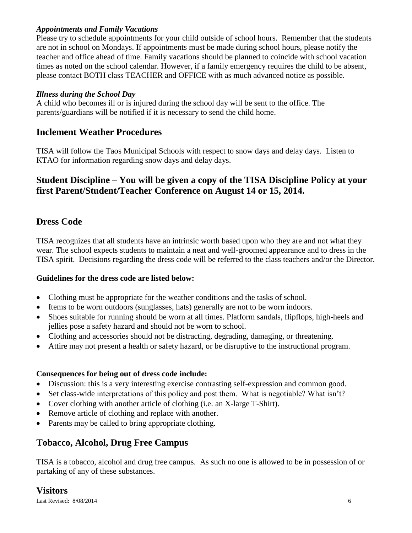#### *Appointments and Family Vacations*

Please try to schedule appointments for your child outside of school hours. Remember that the students are not in school on Mondays. If appointments must be made during school hours, please notify the teacher and office ahead of time. Family vacations should be planned to coincide with school vacation times as noted on the school calendar. However, if a family emergency requires the child to be absent, please contact BOTH class TEACHER and OFFICE with as much advanced notice as possible.

#### *Illness during the School Day*

A child who becomes ill or is injured during the school day will be sent to the office. The parents/guardians will be notified if it is necessary to send the child home.

## **Inclement Weather Procedures**

TISA will follow the Taos Municipal Schools with respect to snow days and delay days. Listen to KTAO for information regarding snow days and delay days.

## **Student Discipline – You will be given a copy of the TISA Discipline Policy at your first Parent/Student/Teacher Conference on August 14 or 15, 2014.**

## **Dress Code**

TISA recognizes that all students have an intrinsic worth based upon who they are and not what they wear. The school expects students to maintain a neat and well-groomed appearance and to dress in the TISA spirit. Decisions regarding the dress code will be referred to the class teachers and/or the Director.

#### **Guidelines for the dress code are listed below:**

- Clothing must be appropriate for the weather conditions and the tasks of school.
- Items to be worn outdoors (sunglasses, hats) generally are not to be worn indoors.
- Shoes suitable for running should be worn at all times. Platform sandals, flipflops, high-heels and jellies pose a safety hazard and should not be worn to school.
- Clothing and accessories should not be distracting, degrading, damaging, or threatening.
- Attire may not present a health or safety hazard, or be disruptive to the instructional program.

#### **Consequences for being out of dress code include:**

- Discussion: this is a very interesting exercise contrasting self-expression and common good.
- Set class-wide interpretations of this policy and post them. What is negotiable? What isn't?
- Cover clothing with another article of clothing (i.e. an X-large T-Shirt).
- Remove article of clothing and replace with another.
- Parents may be called to bring appropriate clothing.

## **Tobacco, Alcohol, Drug Free Campus**

TISA is a tobacco, alcohol and drug free campus. As such no one is allowed to be in possession of or partaking of any of these substances.

#### **Visitors**

Last Revised:  $8/08/2014$  6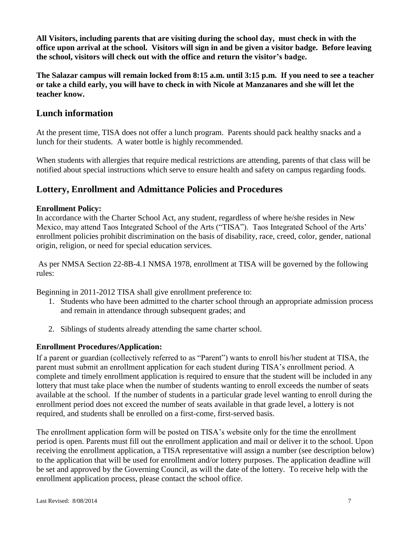**All Visitors, including parents that are visiting during the school day, must check in with the office upon arrival at the school. Visitors will sign in and be given a visitor badge. Before leaving the school, visitors will check out with the office and return the visitor's badge.** 

**The Salazar campus will remain locked from 8:15 a.m. until 3:15 p.m. If you need to see a teacher or take a child early, you will have to check in with Nicole at Manzanares and she will let the teacher know.**

## **Lunch information**

At the present time, TISA does not offer a lunch program. Parents should pack healthy snacks and a lunch for their students. A water bottle is highly recommended.

When students with allergies that require medical restrictions are attending, parents of that class will be notified about special instructions which serve to ensure health and safety on campus regarding foods.

## **Lottery, Enrollment and Admittance Policies and Procedures**

#### **Enrollment Policy:**

In accordance with the Charter School Act, any student, regardless of where he/she resides in New Mexico, may attend Taos Integrated School of the Arts ("TISA"). Taos Integrated School of the Arts' enrollment policies prohibit discrimination on the basis of disability, race, creed, color, gender, national origin, religion, or need for special education services.

As per NMSA Section 22-8B-4.1 NMSA 1978, enrollment at TISA will be governed by the following rules:

Beginning in 2011-2012 TISA shall give enrollment preference to:

- 1. Students who have been admitted to the charter school through an appropriate admission process and remain in attendance through subsequent grades; and
- 2. Siblings of students already attending the same charter school.

## **Enrollment Procedures/Application:**

If a parent or guardian (collectively referred to as "Parent") wants to enroll his/her student at TISA, the parent must submit an enrollment application for each student during TISA's enrollment period. A complete and timely enrollment application is required to ensure that the student will be included in any lottery that must take place when the number of students wanting to enroll exceeds the number of seats available at the school. If the number of students in a particular grade level wanting to enroll during the enrollment period does not exceed the number of seats available in that grade level, a lottery is not required, and students shall be enrolled on a first-come, first-served basis.

The enrollment application form will be posted on TISA's website only for the time the enrollment period is open. Parents must fill out the enrollment application and mail or deliver it to the school. Upon receiving the enrollment application, a TISA representative will assign a number (see description below) to the application that will be used for enrollment and/or lottery purposes. The application deadline will be set and approved by the Governing Council, as will the date of the lottery. To receive help with the enrollment application process, please contact the school office.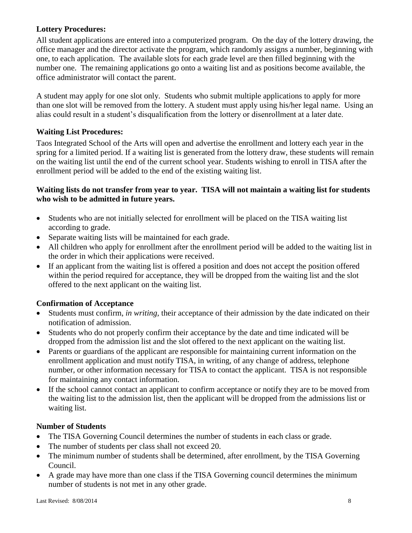#### **Lottery Procedures:**

All student applications are entered into a computerized program. On the day of the lottery drawing, the office manager and the director activate the program, which randomly assigns a number, beginning with one, to each application. The available slots for each grade level are then filled beginning with the number one. The remaining applications go onto a waiting list and as positions become available, the office administrator will contact the parent.

A student may apply for one slot only. Students who submit multiple applications to apply for more than one slot will be removed from the lottery. A student must apply using his/her legal name. Using an alias could result in a student's disqualification from the lottery or disenrollment at a later date.

#### **Waiting List Procedures:**

Taos Integrated School of the Arts will open and advertise the enrollment and lottery each year in the spring for a limited period. If a waiting list is generated from the lottery draw, these students will remain on the waiting list until the end of the current school year. Students wishing to enroll in TISA after the enrollment period will be added to the end of the existing waiting list.

#### **Waiting lists do not transfer from year to year. TISA will not maintain a waiting list for students who wish to be admitted in future years.**

- Students who are not initially selected for enrollment will be placed on the TISA waiting list according to grade.
- Separate waiting lists will be maintained for each grade.
- All children who apply for enrollment after the enrollment period will be added to the waiting list in the order in which their applications were received.
- If an applicant from the waiting list is offered a position and does not accept the position offered within the period required for acceptance, they will be dropped from the waiting list and the slot offered to the next applicant on the waiting list.

## **Confirmation of Acceptance**

- Students must confirm, *in writing,* their acceptance of their admission by the date indicated on their notification of admission.
- Students who do not properly confirm their acceptance by the date and time indicated will be dropped from the admission list and the slot offered to the next applicant on the waiting list.
- Parents or guardians of the applicant are responsible for maintaining current information on the enrollment application and must notify TISA, in writing, of any change of address, telephone number, or other information necessary for TISA to contact the applicant. TISA is not responsible for maintaining any contact information.
- If the school cannot contact an applicant to confirm acceptance or notify they are to be moved from the waiting list to the admission list, then the applicant will be dropped from the admissions list or waiting list.

#### **Number of Students**

- The TISA Governing Council determines the number of students in each class or grade.
- The number of students per class shall not exceed 20.
- The minimum number of students shall be determined, after enrollment, by the TISA Governing Council.
- A grade may have more than one class if the TISA Governing council determines the minimum number of students is not met in any other grade.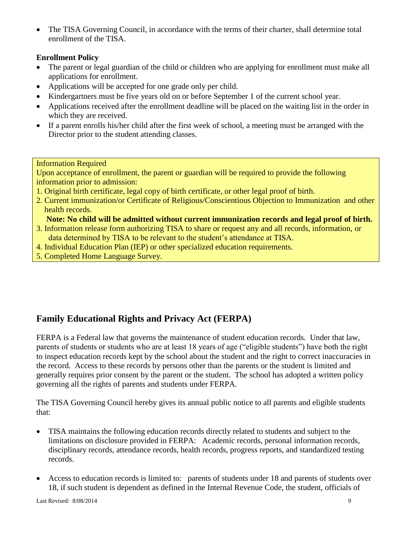• The TISA Governing Council, in accordance with the terms of their charter, shall determine total enrollment of the TISA.

#### **Enrollment Policy**

- The parent or legal guardian of the child or children who are applying for enrollment must make all applications for enrollment.
- Applications will be accepted for one grade only per child.
- Kindergartners must be five years old on or before September 1 of the current school year.
- Applications received after the enrollment deadline will be placed on the waiting list in the order in which they are received.
- If a parent enrolls his/her child after the first week of school, a meeting must be arranged with the Director prior to the student attending classes.

#### Information Required

Upon acceptance of enrollment, the parent or guardian will be required to provide the following information prior to admission:

- 1. Original birth certificate, legal copy of birth certificate, or other legal proof of birth.
- 2. Current immunization/or Certificate of Religious/Conscientious Objection to Immunization and other health records.

 **Note: No child will be admitted without current immunization records and legal proof of birth.**

- 3. Information release form authorizing TISA to share or request any and all records, information, or data determined by TISA to be relevant to the student's attendance at TISA.
- 4. Individual Education Plan (IEP) or other specialized education requirements.
- 5. Completed Home Language Survey.

## **Family Educational Rights and Privacy Act (FERPA)**

FERPA is a Federal law that governs the maintenance of student education records. Under that law, parents of students or students who are at least 18 years of age ("eligible students") have both the right to inspect education records kept by the school about the student and the right to correct inaccuracies in the record. Access to these records by persons other than the parents or the student is limited and generally requires prior consent by the parent or the student. The school has adopted a written policy governing all the rights of parents and students under FERPA.

The TISA Governing Council hereby gives its annual public notice to all parents and eligible students that:

- TISA maintains the following education records directly related to students and subject to the limitations on disclosure provided in FERPA: Academic records, personal information records, disciplinary records, attendance records, health records, progress reports, and standardized testing records.
- Access to education records is limited to: parents of students under 18 and parents of students over 18, if such student is dependent as defined in the Internal Revenue Code, the student, officials of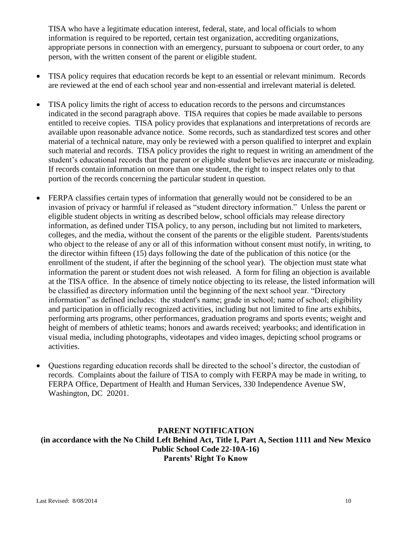TISA who have a legitimate education interest, federal, state, and local officials to whom information is required to be reported, certain test organization, accrediting organizations, appropriate persons in connection with an emergency, pursuant to subpoena or court order, to any person, with the written consent of the parent or eligible student.

- TISA policy requires that education records be kept to an essential or relevant minimum. Records are reviewed at the end of each school year and non-essential and irrelevant material is deleted.
- TISA policy limits the right of access to education records to the persons and circumstances indicated in the second paragraph above. TISA requires that copies be made available to persons entitled to receive copies. TISA policy provides that explanations and interpretations of records are available upon reasonable advance notice. Some records, such as standardized test scores and other material of a technical nature, may only be reviewed with a person qualified to interpret and explain such material and records. TISA policy provides the right to request in writing an amendment of the student's educational records that the parent or eligible student believes are inaccurate or misleading. If records contain information on more than one student, the right to inspect relates only to that portion of the records concerning the particular student in question.
- FERPA classifies certain types of information that generally would not be considered to be an invasion of privacy or harmful if released as "student directory information." Unless the parent or eligible student objects in writing as described below, school officials may release directory information, as defined under TISA policy, to any person, including but not limited to marketers, colleges, and the media, without the consent of the parents or the eligible student. Parents/students who object to the release of any or all of this information without consent must notify, in writing, to the director within fifteen (15) days following the date of the publication of this notice (or the enrollment of the student, if after the beginning of the school year). The objection must state what information the parent or student does not wish released. A form for filing an objection is available at the TISA office. In the absence of timely notice objecting to its release, the listed information will be classified as directory information until the beginning of the next school year. "Directory information" as defined includes: the student's name; grade in school; name of school; eligibility and participation in officially recognized activities, including but not limited to fine arts exhibits, performing arts programs, other performances, graduation programs and sports events; weight and height of members of athletic teams; honors and awards received; yearbooks; and identification in visual media, including photographs, videotapes and video images, depicting school programs or activities.
- Questions regarding education records shall be directed to the school's director, the custodian of records. Complaints about the failure of TISA to comply with FERPA may be made in writing, to FERPA Office, Department of Health and Human Services, 330 Independence Avenue SW, Washington, DC 20201.

#### **PARENT NOTIFICATION (in accordance with the No Child Left Behind Act, Title I, Part A, Section 1111 and New Mexico Public School Code 22-10A-16) Parents' Right To Know**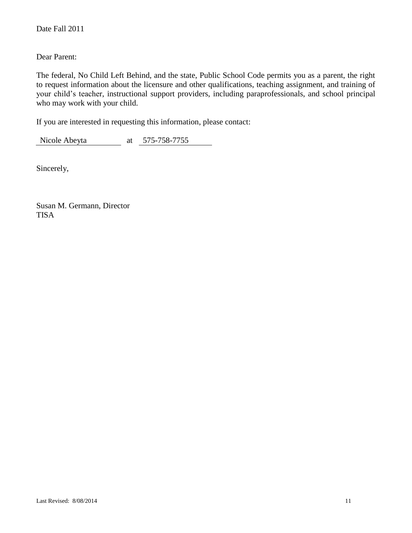#### Dear Parent:

The federal, No Child Left Behind, and the state, Public School Code permits you as a parent, the right to request information about the licensure and other qualifications, teaching assignment, and training of your child's teacher, instructional support providers, including paraprofessionals, and school principal who may work with your child.

If you are interested in requesting this information, please contact:

Nicole Abeyta at 575-758-7755

Sincerely,

Susan M. Germann, Director TISA